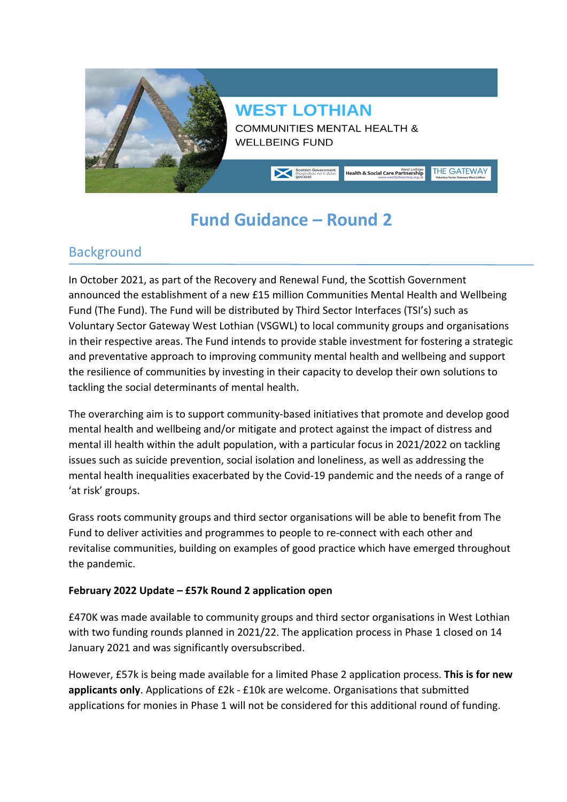

# **Fund Guidance – Round 2**

# Background

In October 2021, as part of the Recovery and Renewal Fund, the Scottish Government announced the establishment of a new £15 million Communities Mental Health and Wellbeing Fund (The Fund). The Fund will be distributed by Third Sector Interfaces (TSI's) such as Voluntary Sector Gateway West Lothian (VSGWL) to local community groups and organisations in their respective areas. The Fund intends to provide stable investment for fostering a strategic and preventative approach to improving community mental health and wellbeing and support the resilience of communities by investing in their capacity to develop their own solutions to tackling the social determinants of mental health.

The overarching aim is to support community-based initiatives that promote and develop good mental health and wellbeing and/or mitigate and protect against the impact of distress and mental ill health within the adult population, with a particular focus in 2021/2022 on tackling issues such as suicide prevention, social isolation and loneliness, as well as addressing the mental health inequalities exacerbated by the Covid-19 pandemic and the needs of a range of 'at risk' groups.

Grass roots community groups and third sector organisations will be able to benefit from The Fund to deliver activities and programmes to people to re-connect with each other and revitalise communities, building on examples of good practice which have emerged throughout the pandemic.

### **February 2022 Update – £57k Round 2 application open**

£470K was made available to community groups and third sector organisations in West Lothian with two funding rounds planned in 2021/22. The application process in Phase 1 closed on 14 January 2021 and was significantly oversubscribed.

However, £57k is being made available for a limited Phase 2 application process. **This is for new applicants only**. Applications of £2k - £10k are welcome. Organisations that submitted applications for monies in Phase 1 will not be considered for this additional round of funding.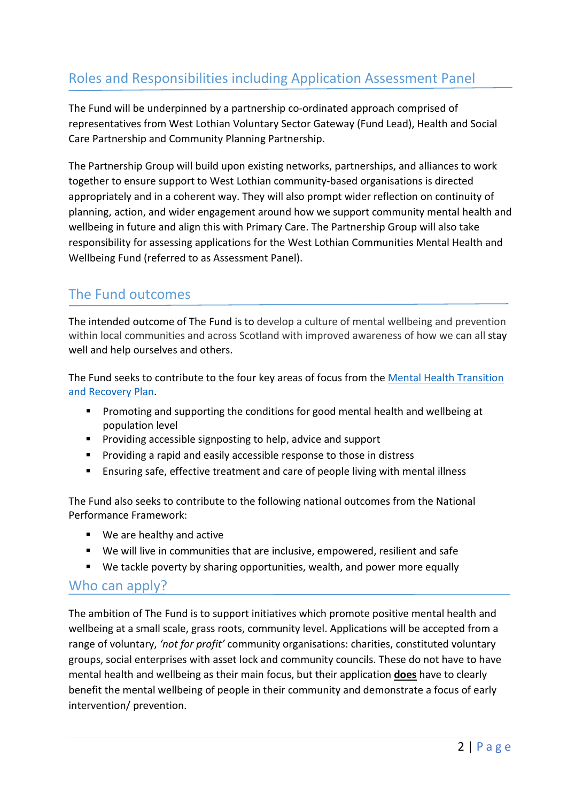## Roles and Responsibilities including Application Assessment Panel

The Fund will be underpinned by a partnership co-ordinated approach comprised of representatives from West Lothian Voluntary Sector Gateway (Fund Lead), Health and Social Care Partnership and Community Planning Partnership.

The Partnership Group will build upon existing networks, partnerships, and alliances to work together to ensure support to West Lothian community-based organisations is directed appropriately and in a coherent way. They will also prompt wider reflection on continuity of planning, action, and wider engagement around how we support community mental health and wellbeing in future and align this with Primary Care. The Partnership Group will also take responsibility for assessing applications for the West Lothian Communities Mental Health and Wellbeing Fund (referred to as Assessment Panel).

### The Fund outcomes

The intended outcome of The Fund is to develop a culture of mental wellbeing and prevention within local communities and across Scotland with improved awareness of how we can all stay well and help ourselves and others.

The Fund seeks to contribute to the four key areas of focus from the [Mental Health Transition](https://www.gov.scot/publications/mental-health-scotlands-transition-recovery/)  [and Recovery Plan.](https://www.gov.scot/publications/mental-health-scotlands-transition-recovery/)

- **Promoting and supporting the conditions for good mental health and wellbeing at** population level
- **Providing accessible signposting to help, advice and support**
- **Providing a rapid and easily accessible response to those in distress**
- Ensuring safe, effective treatment and care of people living with mental illness

The Fund also seeks to contribute to the following national outcomes from the National Performance Framework:

- We are healthy and active
- We will live in communities that are inclusive, empowered, resilient and safe
- We tackle poverty by sharing opportunities, wealth, and power more equally

### Who can apply?

The ambition of The Fund is to support initiatives which promote positive mental health and wellbeing at a small scale, grass roots, community level. Applications will be accepted from a range of voluntary, *'not for profit'* community organisations: charities, constituted voluntary groups, social enterprises with asset lock and community councils. These do not have to have mental health and wellbeing as their main focus, but their application **does** have to clearly benefit the mental wellbeing of people in their community and demonstrate a focus of early intervention/ prevention.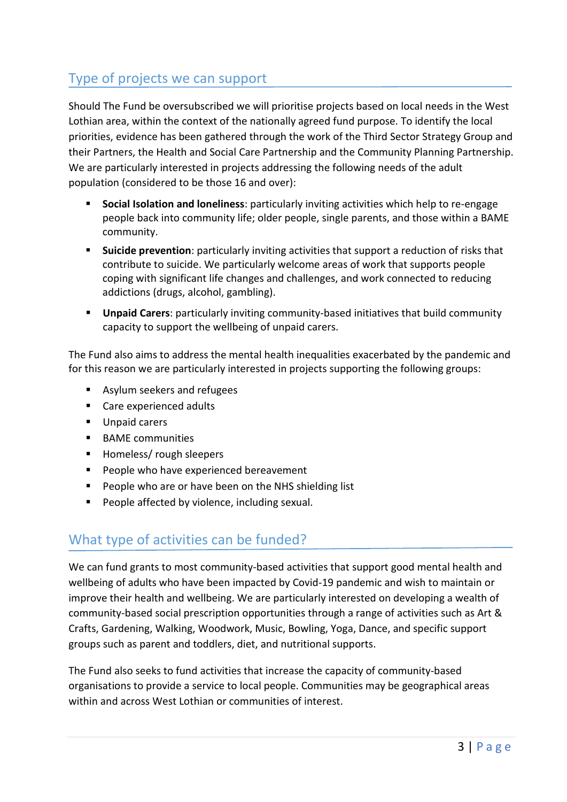# Type of projects we can support

Should The Fund be oversubscribed we will prioritise projects based on local needs in the West Lothian area, within the context of the nationally agreed fund purpose. To identify the local priorities, evidence has been gathered through the work of the Third Sector Strategy Group and their Partners, the Health and Social Care Partnership and the Community Planning Partnership. We are particularly interested in projects addressing the following needs of the adult population (considered to be those 16 and over):

- **Social Isolation and loneliness**: particularly inviting activities which help to re-engage people back into community life; older people, single parents, and those within a BAME community.
- **Suicide prevention**: particularly inviting activities that support a reduction of risks that contribute to suicide. We particularly welcome areas of work that supports people coping with significant life changes and challenges, and work connected to reducing addictions (drugs, alcohol, gambling).
- **Unpaid Carers**: particularly inviting community-based initiatives that build community capacity to support the wellbeing of unpaid carers.

The Fund also aims to address the mental health inequalities exacerbated by the pandemic and for this reason we are particularly interested in projects supporting the following groups:

- **Asylum seekers and refugees**
- Care experienced adults
- **Unpaid carers**
- BAME communities
- Homeless/ rough sleepers
- **People who have experienced bereavement**
- **People who are or have been on the NHS shielding list**
- **People affected by violence, including sexual.**

### What type of activities can be funded?

We can fund grants to most community-based activities that support good mental health and wellbeing of adults who have been impacted by Covid-19 pandemic and wish to maintain or improve their health and wellbeing. We are particularly interested on developing a wealth of community-based social prescription opportunities through a range of activities such as Art & Crafts, Gardening, Walking, Woodwork, Music, Bowling, Yoga, Dance, and specific support groups such as parent and toddlers, diet, and nutritional supports.

The Fund also seeks to fund activities that increase the capacity of community-based organisations to provide a service to local people. Communities may be geographical areas within and across West Lothian or communities of interest.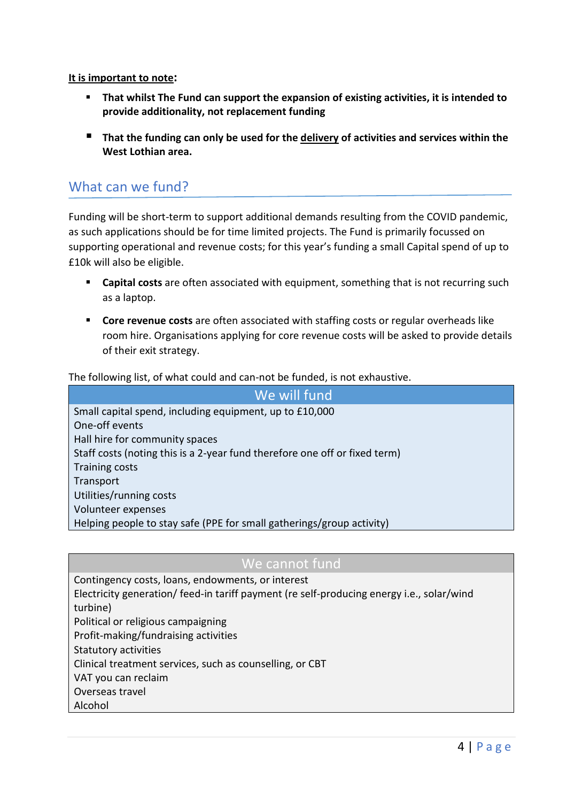**It is important to note:**

- **That whilst The Fund can support the expansion of existing activities, it is intended to provide additionality, not replacement funding**
- **That the funding can only be used for the delivery of activities and services within the West Lothian area.**

### What can we fund?

Funding will be short-term to support additional demands resulting from the COVID pandemic, as such applications should be for time limited projects. The Fund is primarily focussed on supporting operational and revenue costs; for this year's funding a small Capital spend of up to £10k will also be eligible.

- **Capital costs** are often associated with equipment, something that is not recurring such as a laptop.
- **Core revenue costs** are often associated with staffing costs or regular overheads like room hire. Organisations applying for core revenue costs will be asked to provide details of their exit strategy.

The following list, of what could and can-not be funded, is not exhaustive.

| We will fund                                                               |  |  |
|----------------------------------------------------------------------------|--|--|
| Small capital spend, including equipment, up to £10,000                    |  |  |
| One-off events                                                             |  |  |
| Hall hire for community spaces                                             |  |  |
| Staff costs (noting this is a 2-year fund therefore one off or fixed term) |  |  |
| Training costs                                                             |  |  |
| Transport                                                                  |  |  |
| Utilities/running costs                                                    |  |  |
| Volunteer expenses                                                         |  |  |
| Helping people to stay safe (PPE for small gatherings/group activity)      |  |  |

### We cannot fund

Contingency costs, loans, endowments, or interest Electricity generation/ feed-in tariff payment (re self-producing energy i.e., solar/wind turbine) Political or religious campaigning Profit-making/fundraising activities Statutory activities Clinical treatment services, such as counselling, or CBT VAT you can reclaim Overseas travel Alcohol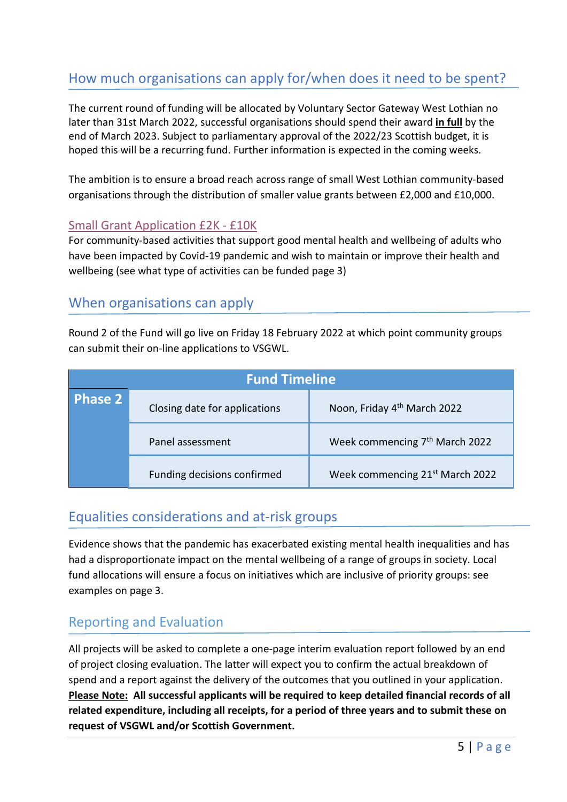## How much organisations can apply for/when does it need to be spent?

The current round of funding will be allocated by Voluntary Sector Gateway West Lothian no later than 31st March 2022, successful organisations should spend their award **in full** by the end of March 2023. Subject to parliamentary approval of the 2022/23 Scottish budget, it is hoped this will be a recurring fund. Further information is expected in the coming weeks.

The ambition is to ensure a broad reach across range of small West Lothian community-based organisations through the distribution of smaller value grants between £2,000 and £10,000.

### Small Grant [Application £2K - £10K](https://form.123formbuilder.com/6094590/)

For community-based activities that support good mental health and wellbeing of adults who have been impacted by Covid-19 pandemic and wish to maintain or improve their health and wellbeing (see what type of activities can be funded page 3)

### When organisations can apply

Round 2 of the Fund will go live on Friday 18 February 2022 at which point community groups can submit their on-line applications to VSGWL.

| <b>Fund Timeline</b> |                               |                                             |  |
|----------------------|-------------------------------|---------------------------------------------|--|
| <b>Phase 2</b>       | Closing date for applications | Noon, Friday 4 <sup>th</sup> March 2022     |  |
|                      | Panel assessment              | Week commencing 7 <sup>th</sup> March 2022  |  |
|                      | Funding decisions confirmed   | Week commencing 21 <sup>st</sup> March 2022 |  |

### Equalities considerations and at-risk groups

Evidence shows that the pandemic has exacerbated existing mental health inequalities and has had a disproportionate impact on the mental wellbeing of a range of groups in society. Local fund allocations will ensure a focus on initiatives which are inclusive of priority groups: see examples on page 3.

### Reporting and Evaluation

All projects will be asked to complete a one-page interim evaluation report followed by an end of project closing evaluation. The latter will expect you to confirm the actual breakdown of spend and a report against the delivery of the outcomes that you outlined in your application. **Please Note: All successful applicants will be required to keep detailed financial records of all related expenditure, including all receipts, for a period of three years and to submit these on request of VSGWL and/or Scottish Government.**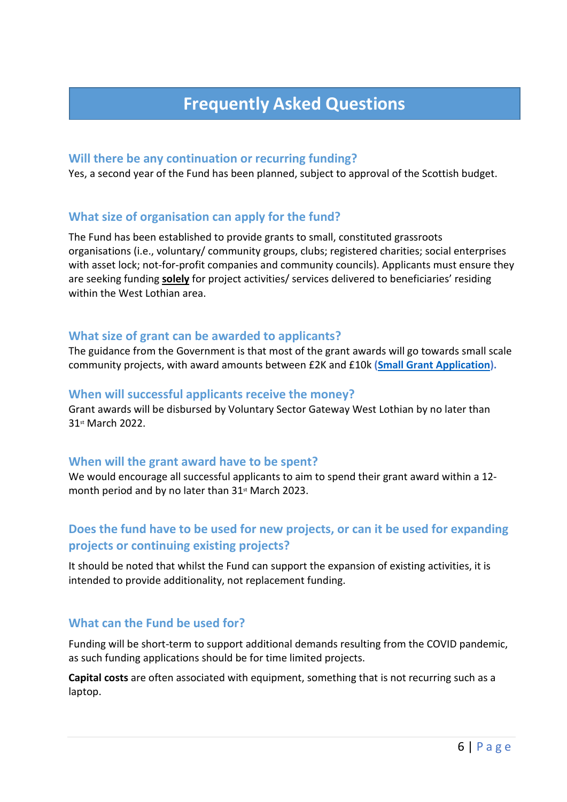# **Frequently Asked Questions**

#### **Will there be any continuation or recurring funding?**

Yes, a second year of the Fund has been planned, subject to approval of the Scottish budget.

#### **What size of organisation can apply for the fund?**

The Fund has been established to provide grants to small, constituted grassroots organisations (i.e., voluntary/ community groups, clubs; registered charities; social enterprises with asset lock; not-for-profit companies and community councils). Applicants must ensure they are seeking funding **solely** for project activities/ services delivered to beneficiaries' residing within the West Lothian area.

#### **What size of grant can be awarded to applicants?**

The guidance from the Government is that most of the grant awards will go towards small scale community projects, with award amounts between £2K and £10k **(Small Grant [Application\)](https://form.123formbuilder.com/6094590/).**

#### **When will successful applicants receive the money?**

Grant awards will be disbursed by Voluntary Sector Gateway West Lothian by no later than 31st March 2022.

#### **When will the grant award have to be spent?**

We would encourage all successful applicants to aim to spend their grant award within a 12 month period and by no later than 31<sup>st</sup> March 2023.

### **Does the fund have to be used for new projects, or can it be used for expanding projects or continuing existing projects?**

It should be noted that whilst the Fund can support the expansion of existing activities, it is intended to provide additionality, not replacement funding.

#### **What can the Fund be used for?**

Funding will be short-term to support additional demands resulting from the COVID pandemic, as such funding applications should be for time limited projects.

**Capital costs** are often associated with equipment, something that is not recurring such as a laptop.